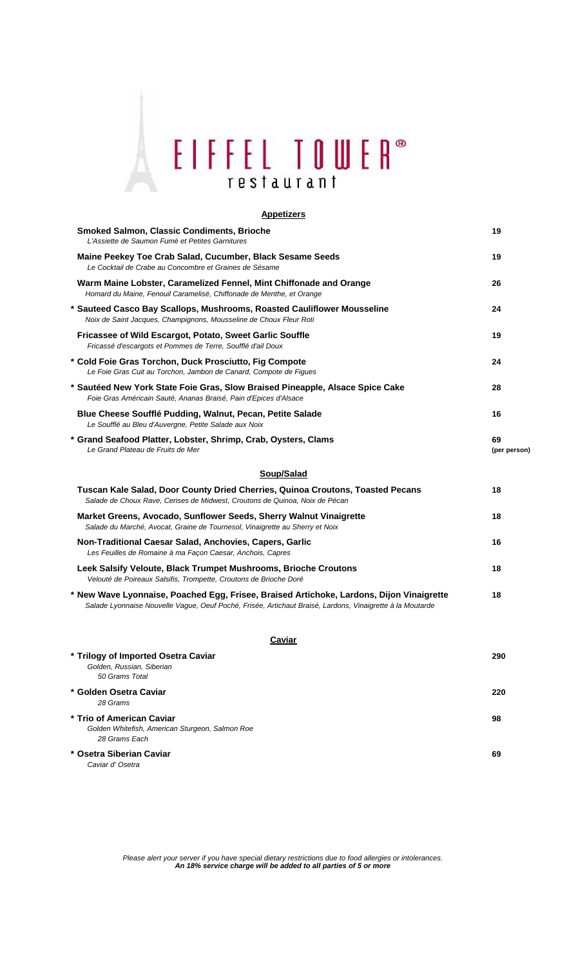# EIFFEL TOWER® restaurant

## **Smoked Salmon, Classic Condiments, Brioche 19** L'Assiette de Saumon Fumé et Petites Garnitures **Maine Peekey Toe Crab Salad, Cucumber, Black Sesame Seeds 19** Le Cocktail de Crabe au Concombre et Graines de Sésame **Warm Maine Lobster, Caramelized Fennel, Mint Chiffonade and Orange 26** Homard du Maine, Fenouil Caramelisé, Chiffonade de Menthe, et Orange **\* Sauteed Casco Bay Scallops, Mushrooms, Roasted Cauliflower Mousseline 24** Noix de Saint Jacques, Champignons, Mousseline de Choux Fleur Roti **Fricassee of Wild Escargot, Potato, Sweet Garlic Souffle 19** Fricassé d'escargots et Pommes de Terre, Soufflé d'ail Doux **\* Cold Foie Gras Torchon, Duck Prosciutto, Fig Compote 24** Le Foie Gras Cuit au Torchon, Jambon de Canard, Compote de Figues **\* Sautéed New York State Foie Gras, Slow Braised Pineapple, Alsace Spice Cake 28** Foie Gras Américain Sauté, Ananas Braisé, Pain d'Epices d'Alsace **Blue Cheese Soufflé Pudding, Walnut, Pecan, Petite Salade 16** Le Soufflé au Bleu d'Auvergne, Petite Salade aux Noix **\* Grand Seafood Platter, Lobster, Shrimp, Crab, Oysters, Clams 69** Le Grand Plateau de Fruits de Mer **(per person) Tuscan Kale Salad, Door County Dried Cherries, Quinoa Croutons, Toasted Pecans 18** Salade de Choux Rave, Cerises de Midwest, Croutons de Quinoa, Noix de Pécan **Market Greens, Avocado, Sunflower Seeds, Sherry Walnut Vinaigrette 18** Salade du Marché, Avocat, Graine de Tournesol, Vinaigrette au Sherry et Noix **Non-Traditional Caesar Salad, Anchovies, Capers, Garlic 16** Les Feuilles de Romaine à ma Façon Caesar, Anchois, Capres **Leek Salsify Veloute, Black Trumpet Mushrooms, Brioche Croutons 18** Velouté de Poireaux Salsifis, Trompette, Croutons de Brioche Doré **\* New Wave Lyonnaise, Poached Egg, Frisee, Braised Artichoke, Lardons, Dijon Vinaigrette 18** Salade Lyonnaise Nouvelle Vague, Oeuf Poché, Frisée, Artichaut Braisé, Lardons, Vinaigrette à la Moutarde **Appetizers Soup/Salad**

#### **Caviar**

| * Trilogy of Imported Osetra Caviar             | 290 |
|-------------------------------------------------|-----|
| Golden, Russian, Siberian                       |     |
| 50 Grams Total                                  |     |
| * Golden Osetra Caviar                          | 220 |
| 28 Grams                                        |     |
| * Trio of American Caviar                       | 98  |
| Golden Whitefish, American Sturgeon, Salmon Roe |     |
| 28 Grams Each                                   |     |
| * Osetra Siberian Caviar                        | 69  |
| Caviar d' Osetra                                |     |

**An 18% service charge will be added to all parties of 5 or more** Please alert your server if you have special dietary restrictions due to food allergies or intolerances.